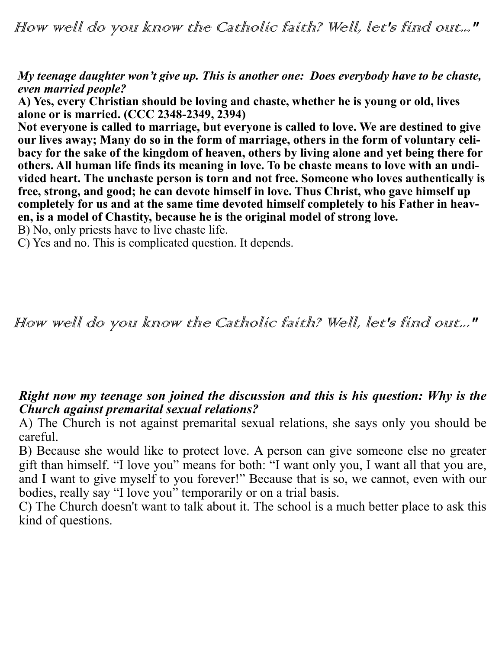How well do you know the Catholic faith? Well, let's find out..."

*My teenage daughter won't give up. This is another one: Does everybody have to be chaste, even married people?*

**A) Yes, every Christian should be loving and chaste, whether he is young or old, lives alone or is married. (CCC 2348-2349, 2394)**

**Not everyone is called to marriage, but everyone is called to love. We are destined to give our lives away; Many do so in the form of marriage, others in the form of voluntary celibacy for the sake of the kingdom of heaven, others by living alone and yet being there for others. All human life finds its meaning in love. To be chaste means to love with an undivided heart. The unchaste person is torn and not free. Someone who loves authentically is free, strong, and good; he can devote himself in love. Thus Christ, who gave himself up completely for us and at the same time devoted himself completely to his Father in heaven, is a model of Chastity, because he is the original model of strong love.**

B) No, only priests have to live chaste life.

C) Yes and no. This is complicated question. It depends.

How well do you know the Catholic faith? Well, let's find out..."

## *Right now my teenage son joined the discussion and this is his question: Why is the Church against premarital sexual relations?*

A) The Church is not against premarital sexual relations, she says only you should be careful.

B) Because she would like to protect love. A person can give someone else no greater gift than himself. "I love you" means for both: "I want only you, I want all that you are, and I want to give myself to you forever!" Because that is so, we cannot, even with our bodies, really say "I love you" temporarily or on a trial basis.

C) The Church doesn't want to talk about it. The school is a much better place to ask this kind of questions.